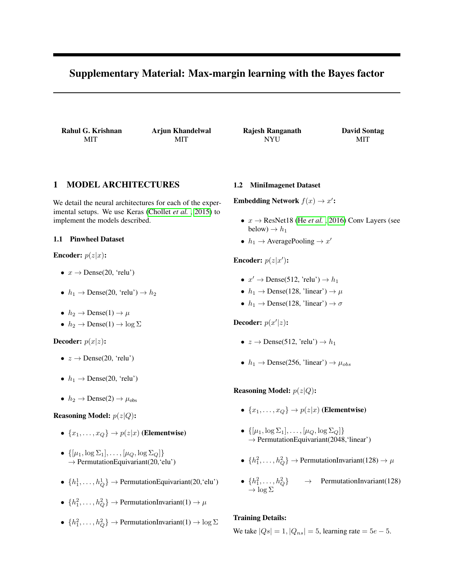# Supplementary Material: Max-margin learning with the Bayes factor

Rahul G. Krishnan MIT

Arjun Khandelwal MIT

Rajesh Ranganath NYU

David Sontag MIT

## 1 MODEL ARCHITECTURES

We detail the neural architectures for each of the experimental setups. We use Keras [\(Chollet](#page-1-0) *et al.* , [2015\)](#page-1-0) to implement the models described.

### 1.1 Pinwheel Dataset

**Encoder:**  $p(z|x)$ :

- $x \rightarrow$  Dense(20, 'relu')
- $h_1 \rightarrow \text{Dense}(20, \text{ 'relu'}) \rightarrow h_2$
- $h_2 \rightarrow \text{Dense}(1) \rightarrow \mu$
- $h_2 \rightarrow \text{Dense}(1) \rightarrow \log \Sigma$

**Decoder:**  $p(x|z)$ :

- $z \rightarrow$  Dense(20, 'relu')
- $h_1 \rightarrow$  Dense(20, 'relu')
- $h_2 \rightarrow \text{Dense}(2) \rightarrow \mu_{\text{obs}}$

## **Reasoning Model:**  $p(z|Q)$ :

- $\{x_1, \ldots, x_Q\} \rightarrow p(z|x)$  (Elementwise)
- $\{[\mu_1, \log \Sigma_1], \ldots, [\mu_Q, \log \Sigma_Q]\}$  $\rightarrow$  PermutationEquivariant(20, 'elu')
- $\{h_1^1, \ldots, h_Q^1\}$   $\rightarrow$  Permutation Equivariant (20, 'elu')
- $\{h_1^2, \ldots, h_Q^2\}$   $\rightarrow$  PermutationInvariant(1)  $\rightarrow \mu$
- $\{h_1^2, \ldots, h_Q^2\}$   $\rightarrow$  PermutationInvariant(1)  $\rightarrow \log \Sigma$

#### 1.2 MiniImagenet Dataset

**Embedding Network**  $f(x) \rightarrow x'$ :

- $x \rightarrow$  ResNet18 (He *[et al.](#page-1-1)*, [2016\)](#page-1-1) Conv Layers (see below)  $\rightarrow h_1$
- $h_1 \rightarrow$  AveragePooling  $\rightarrow x'$

Encoder:  $p(z|x')$ :

- $x' \rightarrow$  Dense(512, 'relu')  $\rightarrow h_1$
- $h_1 \rightarrow$  Dense(128, 'linear')  $\rightarrow \mu$
- $h_1 \rightarrow$  Dense(128, 'linear')  $\rightarrow \sigma$

Decoder:  $p(x'|z)$ :

- $z \rightarrow$  Dense(512, 'relu')  $\rightarrow h_1$
- $h_1 \rightarrow$  Dense(256, 'linear')  $\rightarrow \mu_{obs}$

**Reasoning Model:**  $p(z|Q)$ :

- $\{x_1, \ldots, x_Q\} \rightarrow p(z|x)$  (Elementwise)
- $\{[\mu_1, \log \Sigma_1], \ldots, [\mu_Q, \log \Sigma_Q]\}$  $\rightarrow$  PermutationEquivariant(2048, 'linear')
- $\{h_1^2, \ldots, h_Q^2\}$   $\rightarrow$  PermutationInvariant(128)  $\rightarrow \mu$
- $\{h_1^2, \ldots, h_Q^2\}$   $\rightarrow$  PermutationInvariant(128)  $\rightarrow$  log  $\Sigma$

## Training Details:

We take  $|Q_s| = 1$ ,  $|Q_{ns}| = 5$ , learning rate = 5e – 5.